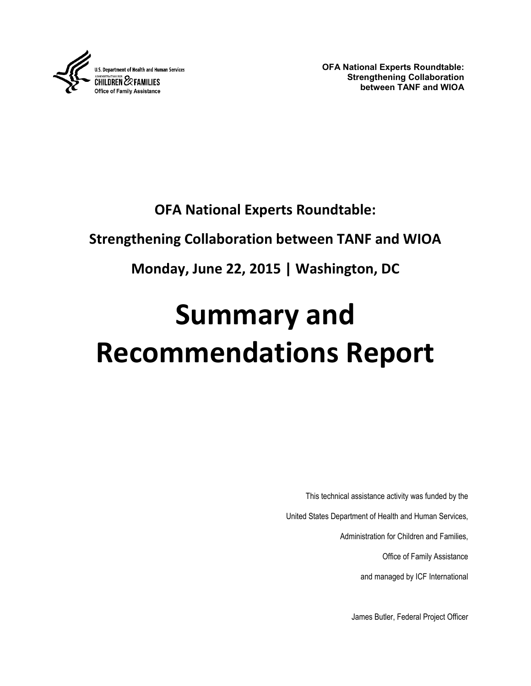

**OFA National Experts Roundtable: Strengthening Collaboration between TANF and WIOA**

# **OFA National Experts Roundtable:**

# **Strengthening Collaboration between TANF and WIOA**

# **Monday, June 22, 2015 | Washington, DC**

# **Summary and Recommendations Report**

This technical assistance activity was funded by the

United States Department of Health and Human Services,

Administration for Children and Families,

Office of Family Assistance

and managed by ICF International

James Butler, Federal Project Officer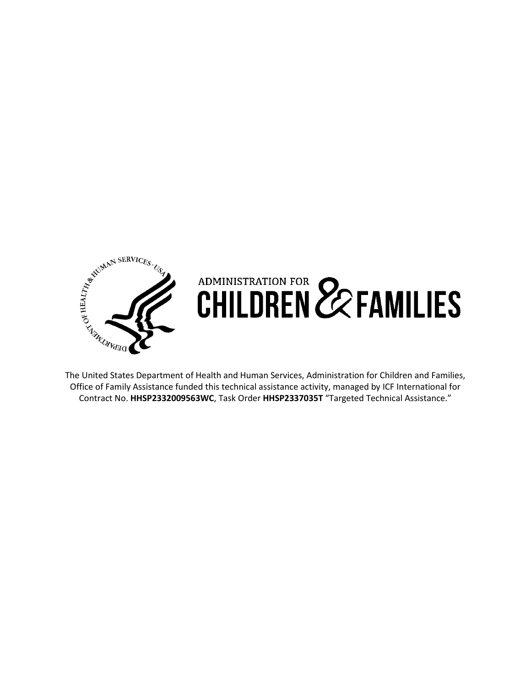

# The United States Department of Health and Human Services, Administration for Children and Families, ADMINISTRATION FOR **22 FAMILIES**

Office of Family Assistance funded this technical assistance activity, managed by ICF International for Contract No. **HHSP2332009563WC**, Task Order **HHSP2337035T** "Targeted Technical Assistance."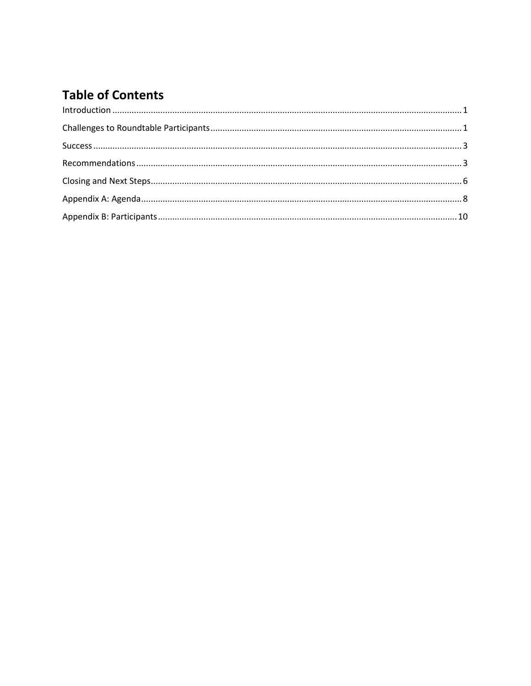### **Table of Contents**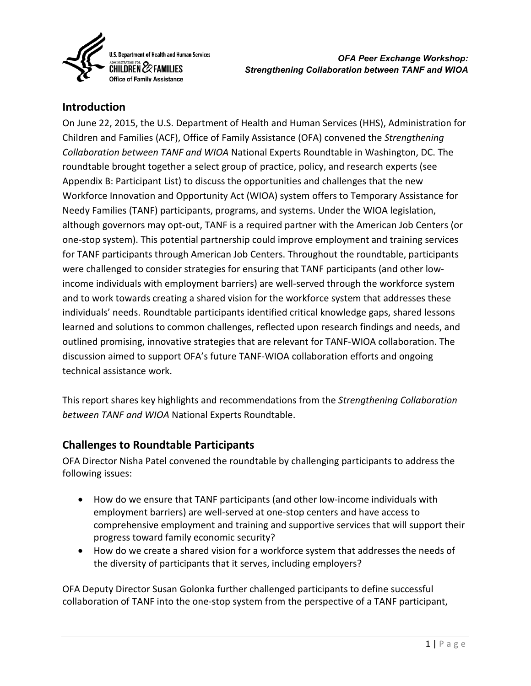

#### <span id="page-3-0"></span>**Introduction**

On June 22, 2015, the U.S. Department of Health and Human Services (HHS), Administration for Children and Families (ACF), Office of Family Assistance (OFA) convened the *Strengthening Collaboration between TANF and WIOA* National Experts Roundtable in Washington, DC. The roundtable brought together a select group of practice, policy, and research experts (see Appendix B: Participant List) to discuss the opportunities and challenges that the new Workforce Innovation and Opportunity Act (WIOA) system offers to Temporary Assistance for Needy Families (TANF) participants, programs, and systems. Under the WIOA legislation, although governors may opt-out, TANF is a required partner with the American Job Centers (or one-stop system). This potential partnership could improve employment and training services for TANF participants through American Job Centers. Throughout the roundtable, participants were challenged to consider strategies for ensuring that TANF participants (and other lowincome individuals with employment barriers) are well-served through the workforce system and to work towards creating a shared vision for the workforce system that addresses these individuals' needs. Roundtable participants identified critical knowledge gaps, shared lessons learned and solutions to common challenges, reflected upon research findings and needs, and outlined promising, innovative strategies that are relevant for TANF-WIOA collaboration. The discussion aimed to support OFA's future TANF-WIOA collaboration efforts and ongoing technical assistance work.

This report shares key highlights and recommendations from the *Strengthening Collaboration between TANF and WIOA* National Experts Roundtable.

#### <span id="page-3-1"></span>**Challenges to Roundtable Participants**

OFA Director Nisha Patel convened the roundtable by challenging participants to address the following issues:

- How do we ensure that TANF participants (and other low-income individuals with employment barriers) are well-served at one-stop centers and have access to comprehensive employment and training and supportive services that will support their progress toward family economic security?
- How do we create a shared vision for a workforce system that addresses the needs of the diversity of participants that it serves, including employers?

OFA Deputy Director Susan Golonka further challenged participants to define successful collaboration of TANF into the one-stop system from the perspective of a TANF participant,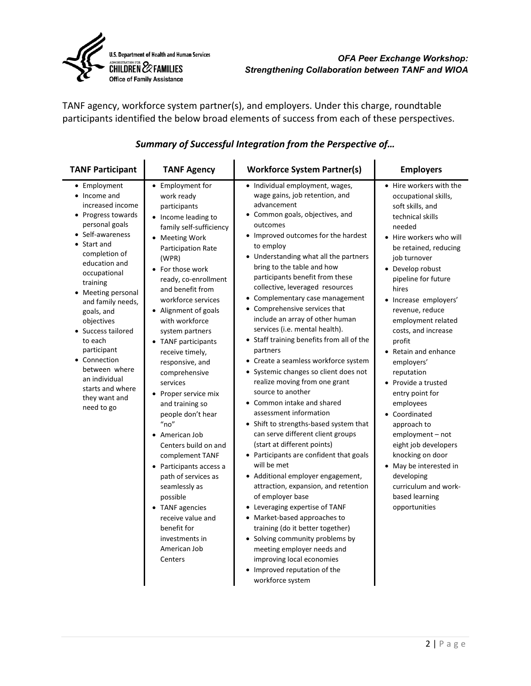

TANF agency, workforce system partner(s), and employers. Under this charge, roundtable participants identified the below broad elements of success from each of these perspectives.

| <b>TANF Participant</b>                                                                                                                                                                                                                                                                                                                                                                                             | <b>TANF Agency</b>                                                                                                                                                                                                                                                                                                                                                                                                                                                                                                                                                                                                                                                                                                              | <b>Workforce System Partner(s)</b>                                                                                                                                                                                                                                                                                                                                                                                                                                                                                                                                                                                                                                                                                                                                                                                                                                                                                                                                                                                                                                                                                                                                                                                                                                 | <b>Employers</b>                                                                                                                                                                                                                                                                                                                                                                                                                                                                                                                                                                                                                           |
|---------------------------------------------------------------------------------------------------------------------------------------------------------------------------------------------------------------------------------------------------------------------------------------------------------------------------------------------------------------------------------------------------------------------|---------------------------------------------------------------------------------------------------------------------------------------------------------------------------------------------------------------------------------------------------------------------------------------------------------------------------------------------------------------------------------------------------------------------------------------------------------------------------------------------------------------------------------------------------------------------------------------------------------------------------------------------------------------------------------------------------------------------------------|--------------------------------------------------------------------------------------------------------------------------------------------------------------------------------------------------------------------------------------------------------------------------------------------------------------------------------------------------------------------------------------------------------------------------------------------------------------------------------------------------------------------------------------------------------------------------------------------------------------------------------------------------------------------------------------------------------------------------------------------------------------------------------------------------------------------------------------------------------------------------------------------------------------------------------------------------------------------------------------------------------------------------------------------------------------------------------------------------------------------------------------------------------------------------------------------------------------------------------------------------------------------|--------------------------------------------------------------------------------------------------------------------------------------------------------------------------------------------------------------------------------------------------------------------------------------------------------------------------------------------------------------------------------------------------------------------------------------------------------------------------------------------------------------------------------------------------------------------------------------------------------------------------------------------|
| • Employment<br>• Income and<br>increased income<br>• Progress towards<br>personal goals<br>• Self-awareness<br>Start and<br>completion of<br>education and<br>occupational<br>training<br>• Meeting personal<br>and family needs,<br>goals, and<br>objectives<br>• Success tailored<br>to each<br>participant<br>• Connection<br>between where<br>an individual<br>starts and where<br>they want and<br>need to go | Employment for<br>$\bullet$<br>work ready<br>participants<br>Income leading to<br>family self-sufficiency<br><b>Meeting Work</b><br>Participation Rate<br>(WPR)<br>For those work<br>ready, co-enrollment<br>and benefit from<br>workforce services<br>• Alignment of goals<br>with workforce<br>system partners<br>TANF participants<br>receive timely,<br>responsive, and<br>comprehensive<br>services<br>Proper service mix<br>and training so<br>people don't hear<br>"no"<br>American Job<br>Centers build on and<br>complement TANF<br>Participants access a<br>path of services as<br>seamlessly as<br>possible<br><b>TANF</b> agencies<br>receive value and<br>benefit for<br>investments in<br>American Job<br>Centers | • Individual employment, wages,<br>wage gains, job retention, and<br>advancement<br>• Common goals, objectives, and<br>outcomes<br>• Improved outcomes for the hardest<br>to employ<br>• Understanding what all the partners<br>bring to the table and how<br>participants benefit from these<br>collective, leveraged resources<br>• Complementary case management<br>• Comprehensive services that<br>include an array of other human<br>services (i.e. mental health).<br>• Staff training benefits from all of the<br>partners<br>• Create a seamless workforce system<br>• Systemic changes so client does not<br>realize moving from one grant<br>source to another<br>• Common intake and shared<br>assessment information<br>• Shift to strengths-based system that<br>can serve different client groups<br>(start at different points)<br>• Participants are confident that goals<br>will be met<br>• Additional employer engagement,<br>attraction, expansion, and retention<br>of employer base<br>• Leveraging expertise of TANF<br>• Market-based approaches to<br>training (do it better together)<br>• Solving community problems by<br>meeting employer needs and<br>improving local economies<br>• Improved reputation of the<br>workforce system | • Hire workers with the<br>occupational skills,<br>soft skills, and<br>technical skills<br>needed<br>• Hire workers who will<br>be retained, reducing<br>job turnover<br>• Develop robust<br>pipeline for future<br>hires<br>· Increase employers'<br>revenue, reduce<br>employment related<br>costs, and increase<br>profit<br>• Retain and enhance<br>employers'<br>reputation<br>• Provide a trusted<br>entry point for<br>employees<br>• Coordinated<br>approach to<br>$employment - not$<br>eight job developers<br>knocking on door<br>May be interested in<br>developing<br>curriculum and work-<br>based learning<br>opportunities |

#### *Summary of Successful Integration from the Perspective of…*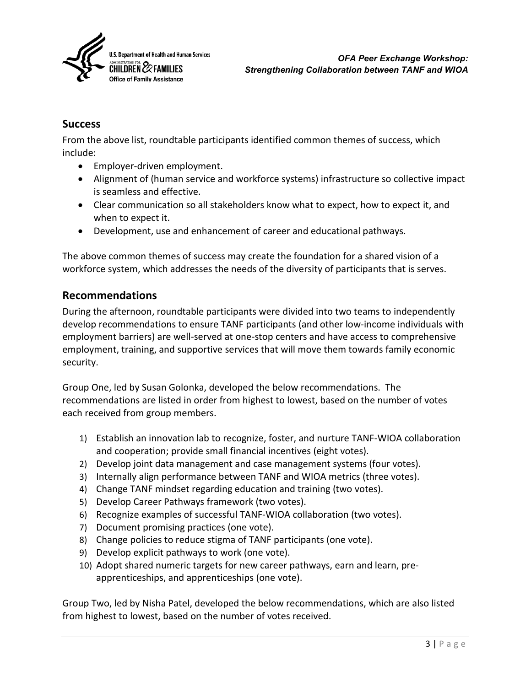

#### <span id="page-5-0"></span>**Success**

From the above list, roundtable participants identified common themes of success, which include:

- Employer-driven employment.
- Alignment of (human service and workforce systems) infrastructure so collective impact is seamless and effective.
- Clear communication so all stakeholders know what to expect, how to expect it, and when to expect it.
- Development, use and enhancement of career and educational pathways.

The above common themes of success may create the foundation for a shared vision of a workforce system, which addresses the needs of the diversity of participants that is serves.

#### <span id="page-5-1"></span>**Recommendations**

During the afternoon, roundtable participants were divided into two teams to independently develop recommendations to ensure TANF participants (and other low-income individuals with employment barriers) are well-served at one-stop centers and have access to comprehensive employment, training, and supportive services that will move them towards family economic security.

Group One, led by Susan Golonka, developed the below recommendations. The recommendations are listed in order from highest to lowest, based on the number of votes each received from group members.

- 1) Establish an innovation lab to recognize, foster, and nurture TANF-WIOA collaboration and cooperation; provide small financial incentives (eight votes).
- 2) Develop joint data management and case management systems (four votes).
- 3) Internally align performance between TANF and WIOA metrics (three votes).
- 4) Change TANF mindset regarding education and training (two votes).
- 5) Develop Career Pathways framework (two votes).
- 6) Recognize examples of successful TANF-WIOA collaboration (two votes).
- 7) Document promising practices (one vote).
- 8) Change policies to reduce stigma of TANF participants (one vote).
- 9) Develop explicit pathways to work (one vote).
- 10) Adopt shared numeric targets for new career pathways, earn and learn, preapprenticeships, and apprenticeships (one vote).

Group Two, led by Nisha Patel, developed the below recommendations, which are also listed from highest to lowest, based on the number of votes received.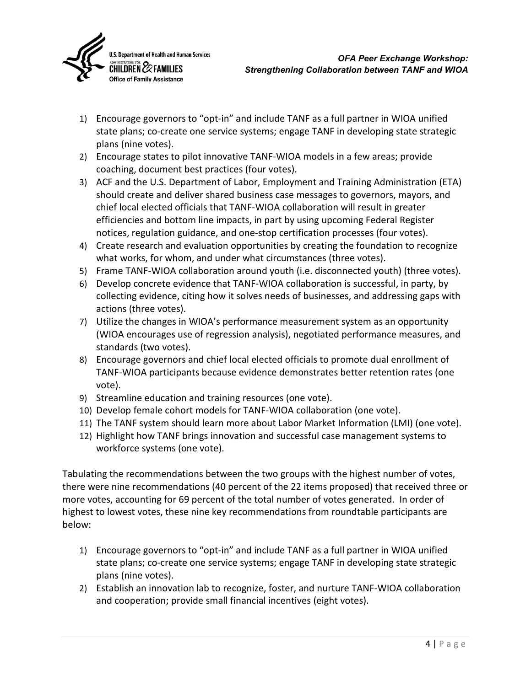

- 1) Encourage governors to "opt-in" and include TANF as a full partner in WIOA unified state plans; co-create one service systems; engage TANF in developing state strategic plans (nine votes).
- 2) Encourage states to pilot innovative TANF-WIOA models in a few areas; provide coaching, document best practices (four votes).
- 3) ACF and the U.S. Department of Labor, Employment and Training Administration (ETA) should create and deliver shared business case messages to governors, mayors, and chief local elected officials that TANF-WIOA collaboration will result in greater efficiencies and bottom line impacts, in part by using upcoming Federal Register notices, regulation guidance, and one-stop certification processes (four votes).
- 4) Create research and evaluation opportunities by creating the foundation to recognize what works, for whom, and under what circumstances (three votes).
- 5) Frame TANF-WIOA collaboration around youth (i.e. disconnected youth) (three votes).
- 6) Develop concrete evidence that TANF-WIOA collaboration is successful, in party, by collecting evidence, citing how it solves needs of businesses, and addressing gaps with actions (three votes).
- 7) Utilize the changes in WIOA's performance measurement system as an opportunity (WIOA encourages use of regression analysis), negotiated performance measures, and standards (two votes).
- 8) Encourage governors and chief local elected officials to promote dual enrollment of TANF-WIOA participants because evidence demonstrates better retention rates (one vote).
- 9) Streamline education and training resources (one vote).
- 10) Develop female cohort models for TANF-WIOA collaboration (one vote).
- 11) The TANF system should learn more about Labor Market Information (LMI) (one vote).
- 12) Highlight how TANF brings innovation and successful case management systems to workforce systems (one vote).

Tabulating the recommendations between the two groups with the highest number of votes, there were nine recommendations (40 percent of the 22 items proposed) that received three or more votes, accounting for 69 percent of the total number of votes generated. In order of highest to lowest votes, these nine key recommendations from roundtable participants are below:

- 1) Encourage governors to "opt-in" and include TANF as a full partner in WIOA unified state plans; co-create one service systems; engage TANF in developing state strategic plans (nine votes).
- 2) Establish an innovation lab to recognize, foster, and nurture TANF-WIOA collaboration and cooperation; provide small financial incentives (eight votes).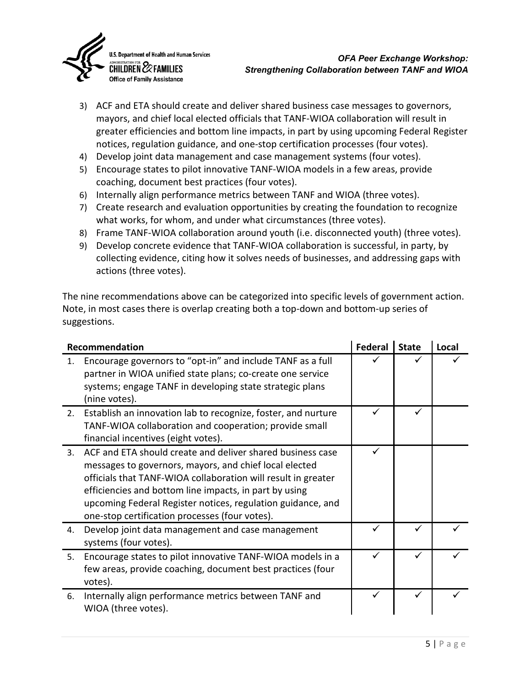

- 3) ACF and ETA should create and deliver shared business case messages to governors, mayors, and chief local elected officials that TANF-WIOA collaboration will result in greater efficiencies and bottom line impacts, in part by using upcoming Federal Register notices, regulation guidance, and one-stop certification processes (four votes).
- 4) Develop joint data management and case management systems (four votes).
- 5) Encourage states to pilot innovative TANF-WIOA models in a few areas, provide coaching, document best practices (four votes).
- 6) Internally align performance metrics between TANF and WIOA (three votes).
- 7) Create research and evaluation opportunities by creating the foundation to recognize what works, for whom, and under what circumstances (three votes).
- 8) Frame TANF-WIOA collaboration around youth (i.e. disconnected youth) (three votes).
- 9) Develop concrete evidence that TANF-WIOA collaboration is successful, in party, by collecting evidence, citing how it solves needs of businesses, and addressing gaps with actions (three votes).

The nine recommendations above can be categorized into specific levels of government action. Note, in most cases there is overlap creating both a top-down and bottom-up series of suggestions.

| Recommendation |                                                                                                                                                                                                                                                                                                                                                                  | Federal | <b>State</b> | Local |
|----------------|------------------------------------------------------------------------------------------------------------------------------------------------------------------------------------------------------------------------------------------------------------------------------------------------------------------------------------------------------------------|---------|--------------|-------|
| 1.             | Encourage governors to "opt-in" and include TANF as a full<br>partner in WIOA unified state plans; co-create one service<br>systems; engage TANF in developing state strategic plans<br>(nine votes).                                                                                                                                                            |         |              |       |
| 2.             | Establish an innovation lab to recognize, foster, and nurture<br>TANF-WIOA collaboration and cooperation; provide small<br>financial incentives (eight votes).                                                                                                                                                                                                   |         |              |       |
| 3.             | ACF and ETA should create and deliver shared business case<br>messages to governors, mayors, and chief local elected<br>officials that TANF-WIOA collaboration will result in greater<br>efficiencies and bottom line impacts, in part by using<br>upcoming Federal Register notices, regulation guidance, and<br>one-stop certification processes (four votes). |         |              |       |
| 4.             | Develop joint data management and case management<br>systems (four votes).                                                                                                                                                                                                                                                                                       |         |              |       |
| 5.             | Encourage states to pilot innovative TANF-WIOA models in a<br>few areas, provide coaching, document best practices (four<br>votes).                                                                                                                                                                                                                              |         |              |       |
| 6.             | Internally align performance metrics between TANF and<br>WIOA (three votes).                                                                                                                                                                                                                                                                                     |         |              |       |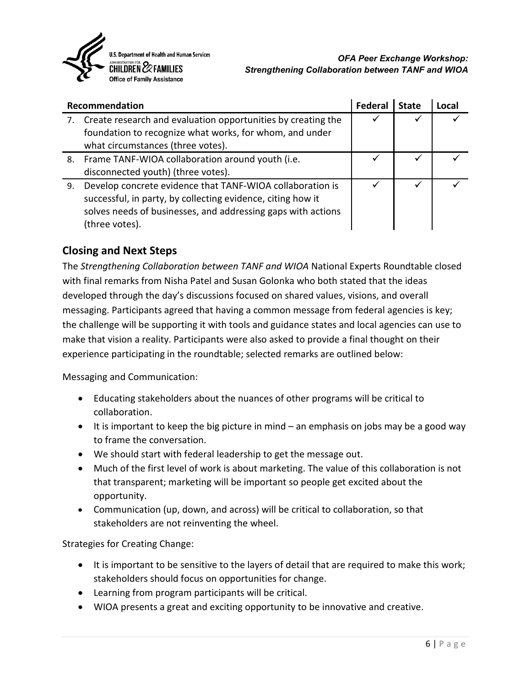

| Recommendation |                                                                                                                                                                                                            | Federa | <b>State</b> | Local |
|----------------|------------------------------------------------------------------------------------------------------------------------------------------------------------------------------------------------------------|--------|--------------|-------|
|                | Create research and evaluation opportunities by creating the<br>foundation to recognize what works, for whom, and under<br>what circumstances (three votes).                                               |        |              |       |
| 8.             | Frame TANF-WIOA collaboration around youth (i.e.<br>disconnected youth) (three votes).                                                                                                                     |        |              |       |
| 9.             | Develop concrete evidence that TANF-WIOA collaboration is<br>successful, in party, by collecting evidence, citing how it<br>solves needs of businesses, and addressing gaps with actions<br>(three votes). |        |              |       |

#### <span id="page-8-0"></span>**Closing and Next Steps**

The *Strengthening Collaboration between TANF and WIOA* National Experts Roundtable closed with final remarks from Nisha Patel and Susan Golonka who both stated that the ideas developed through the day's discussions focused on shared values, visions, and overall messaging. Participants agreed that having a common message from federal agencies is key; the challenge will be supporting it with tools and guidance states and local agencies can use to make that vision a reality. Participants were also asked to provide a final thought on their experience participating in the roundtable; selected remarks are outlined below:

Messaging and Communication:

- Educating stakeholders about the nuances of other programs will be critical to collaboration.
- It is important to keep the big picture in mind an emphasis on jobs may be a good way to frame the conversation.
- We should start with federal leadership to get the message out.
- Much of the first level of work is about marketing. The value of this collaboration is not that transparent; marketing will be important so people get excited about the opportunity.
- Communication (up, down, and across) will be critical to collaboration, so that stakeholders are not reinventing the wheel.

Strategies for Creating Change:

- It is important to be sensitive to the layers of detail that are required to make this work; stakeholders should focus on opportunities for change.
- Learning from program participants will be critical.
- WIOA presents a great and exciting opportunity to be innovative and creative.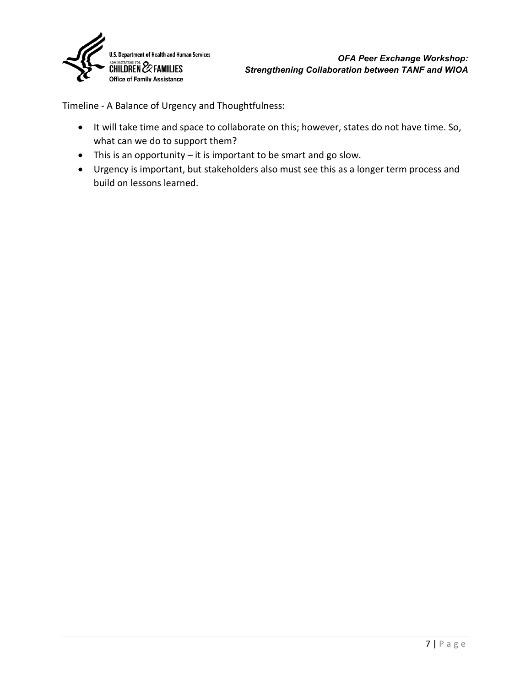

Timeline - A Balance of Urgency and Thoughtfulness:

- It will take time and space to collaborate on this; however, states do not have time. So, what can we do to support them?
- This is an opportunity it is important to be smart and go slow.
- Urgency is important, but stakeholders also must see this as a longer term process and build on lessons learned.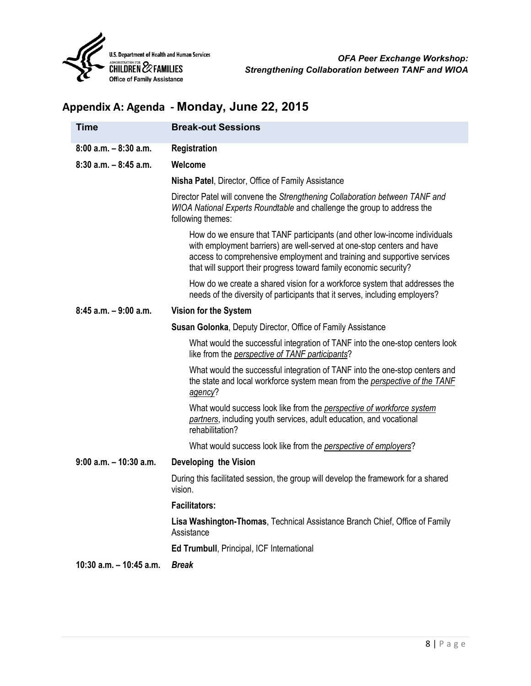

## <span id="page-10-0"></span>**Appendix A: Agenda - Monday, June 22, 2015**

| <b>Time</b>                | <b>Break-out Sessions</b>                                                                                                                                                                                                                                                                           |
|----------------------------|-----------------------------------------------------------------------------------------------------------------------------------------------------------------------------------------------------------------------------------------------------------------------------------------------------|
| $8:00$ a.m. $-8:30$ a.m.   | <b>Registration</b>                                                                                                                                                                                                                                                                                 |
| $8:30$ a.m. $-8:45$ a.m.   | Welcome                                                                                                                                                                                                                                                                                             |
|                            | <b>Nisha Patel, Director, Office of Family Assistance</b>                                                                                                                                                                                                                                           |
|                            | Director Patel will convene the Strengthening Collaboration between TANF and<br>WIOA National Experts Roundtable and challenge the group to address the<br>following themes:                                                                                                                        |
|                            | How do we ensure that TANF participants (and other low-income individuals<br>with employment barriers) are well-served at one-stop centers and have<br>access to comprehensive employment and training and supportive services<br>that will support their progress toward family economic security? |
|                            | How do we create a shared vision for a workforce system that addresses the<br>needs of the diversity of participants that it serves, including employers?                                                                                                                                           |
| $8:45$ a.m. $-9:00$ a.m.   | Vision for the System                                                                                                                                                                                                                                                                               |
|                            | <b>Susan Golonka, Deputy Director, Office of Family Assistance</b>                                                                                                                                                                                                                                  |
|                            | What would the successful integration of TANF into the one-stop centers look<br>like from the <i>perspective of TANF participants</i> ?                                                                                                                                                             |
|                            | What would the successful integration of TANF into the one-stop centers and<br>the state and local workforce system mean from the <i>perspective of the TANF</i><br>agency?                                                                                                                         |
|                            | What would success look like from the perspective of workforce system<br>partners, including youth services, adult education, and vocational<br>rehabilitation?                                                                                                                                     |
|                            | What would success look like from the <i>perspective of employers</i> ?                                                                                                                                                                                                                             |
| $9:00$ a.m. $-10:30$ a.m.  | Developing the Vision                                                                                                                                                                                                                                                                               |
|                            | During this facilitated session, the group will develop the framework for a shared<br>vision.                                                                                                                                                                                                       |
|                            | <b>Facilitators:</b>                                                                                                                                                                                                                                                                                |
|                            | Lisa Washington-Thomas, Technical Assistance Branch Chief, Office of Family<br>Assistance                                                                                                                                                                                                           |
|                            | <b>Ed Trumbull, Principal, ICF International</b>                                                                                                                                                                                                                                                    |
| $10:30$ a.m. $-10:45$ a.m. | <b>Break</b>                                                                                                                                                                                                                                                                                        |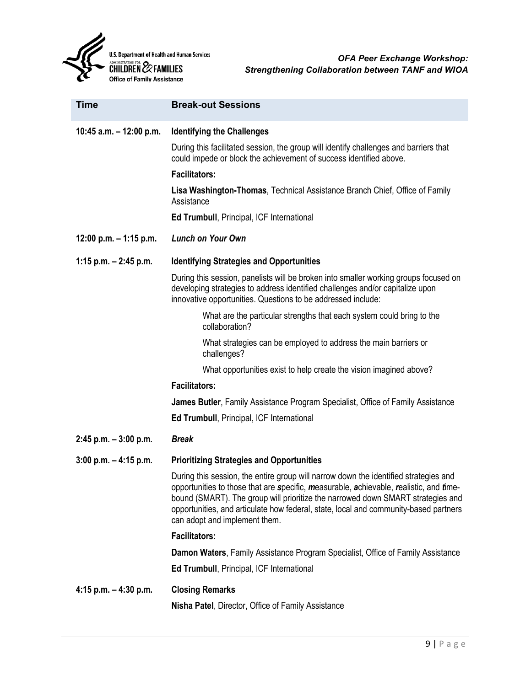

| <b>Time</b>              | <b>Break-out Sessions</b>                                                                                                                                                                                                                                                                                                                                                                  |
|--------------------------|--------------------------------------------------------------------------------------------------------------------------------------------------------------------------------------------------------------------------------------------------------------------------------------------------------------------------------------------------------------------------------------------|
| 10:45 a.m. - 12:00 p.m.  | <b>Identifying the Challenges</b>                                                                                                                                                                                                                                                                                                                                                          |
|                          | During this facilitated session, the group will identify challenges and barriers that<br>could impede or block the achievement of success identified above.                                                                                                                                                                                                                                |
|                          | <b>Facilitators:</b>                                                                                                                                                                                                                                                                                                                                                                       |
|                          | Lisa Washington-Thomas, Technical Assistance Branch Chief, Office of Family<br>Assistance                                                                                                                                                                                                                                                                                                  |
|                          | Ed Trumbull, Principal, ICF International                                                                                                                                                                                                                                                                                                                                                  |
| 12:00 p.m. $-$ 1:15 p.m. | <b>Lunch on Your Own</b>                                                                                                                                                                                                                                                                                                                                                                   |
| 1:15 p.m. $-$ 2:45 p.m.  | <b>Identifying Strategies and Opportunities</b>                                                                                                                                                                                                                                                                                                                                            |
|                          | During this session, panelists will be broken into smaller working groups focused on<br>developing strategies to address identified challenges and/or capitalize upon<br>innovative opportunities. Questions to be addressed include:                                                                                                                                                      |
|                          | What are the particular strengths that each system could bring to the<br>collaboration?                                                                                                                                                                                                                                                                                                    |
|                          | What strategies can be employed to address the main barriers or<br>challenges?                                                                                                                                                                                                                                                                                                             |
|                          | What opportunities exist to help create the vision imagined above?                                                                                                                                                                                                                                                                                                                         |
|                          | <b>Facilitators:</b>                                                                                                                                                                                                                                                                                                                                                                       |
|                          | James Butler, Family Assistance Program Specialist, Office of Family Assistance                                                                                                                                                                                                                                                                                                            |
|                          | <b>Ed Trumbull, Principal, ICF International</b>                                                                                                                                                                                                                                                                                                                                           |
| $2:45$ p.m. $-3:00$ p.m. | <b>Break</b>                                                                                                                                                                                                                                                                                                                                                                               |
| $3:00$ p.m. $-4:15$ p.m. | <b>Prioritizing Strategies and Opportunities</b>                                                                                                                                                                                                                                                                                                                                           |
|                          | During this session, the entire group will narrow down the identified strategies and<br>opportunities to those that are specific, measurable, achievable, realistic, and fime-<br>bound (SMART). The group will prioritize the narrowed down SMART strategies and<br>opportunities, and articulate how federal, state, local and community-based partners<br>can adopt and implement them. |
|                          | <b>Facilitators:</b>                                                                                                                                                                                                                                                                                                                                                                       |
|                          | Damon Waters, Family Assistance Program Specialist, Office of Family Assistance                                                                                                                                                                                                                                                                                                            |
|                          | Ed Trumbull, Principal, ICF International                                                                                                                                                                                                                                                                                                                                                  |
| 4:15 p.m. $-$ 4:30 p.m.  | <b>Closing Remarks</b>                                                                                                                                                                                                                                                                                                                                                                     |
|                          | Nisha Patel, Director, Office of Family Assistance                                                                                                                                                                                                                                                                                                                                         |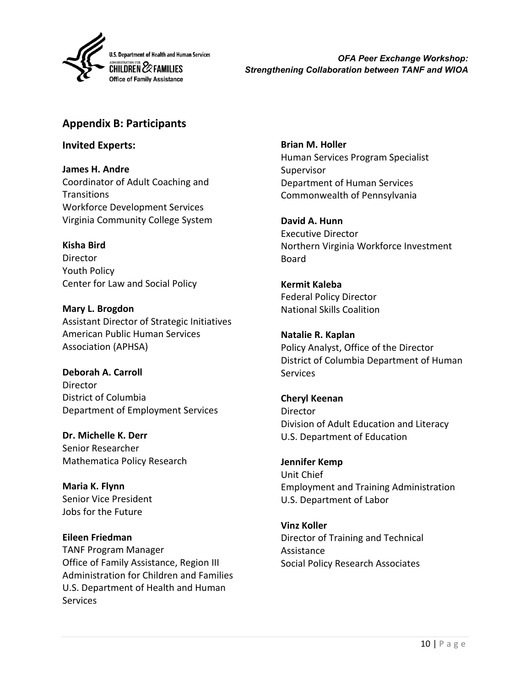

*OFA Peer Exchange Workshop: Strengthening Collaboration between TANF and WIOA*

#### <span id="page-12-0"></span>**Appendix B: Participants**

**Invited Experts:**

**James H. Andre** Coordinator of Adult Coaching and **Transitions** Workforce Development Services Virginia Community College System

**Kisha Bird**

Director Youth Policy Center for Law and Social Policy

**Mary L. Brogdon** Assistant Director of Strategic Initiatives American Public Human Services Association (APHSA)

**Deborah A. Carroll Director** District of Columbia Department of Employment Services

**Dr. Michelle K. Derr** Senior Researcher Mathematica Policy Research

**Maria K. Flynn** Senior Vice President Jobs for the Future

#### **Eileen Friedman** TANF Program Manager Office of Family Assistance, Region III Administration for Children and Families U.S. Department of Health and Human **Services**

**Brian M. Holler** Human Services Program Specialist Supervisor Department of Human Services Commonwealth of Pennsylvania

**David A. Hunn** Executive Director Northern Virginia Workforce Investment Board

**Kermit Kaleba** Federal Policy Director National Skills Coalition

**Natalie R. Kaplan** Policy Analyst, Office of the Director District of Columbia Department of Human **Services** 

**Cheryl Keenan Director** Division of Adult Education and Literacy U.S. Department of Education

**Jennifer Kemp** Unit Chief Employment and Training Administration U.S. Department of Labor

**Vinz Koller** Director of Training and Technical Assistance Social Policy Research Associates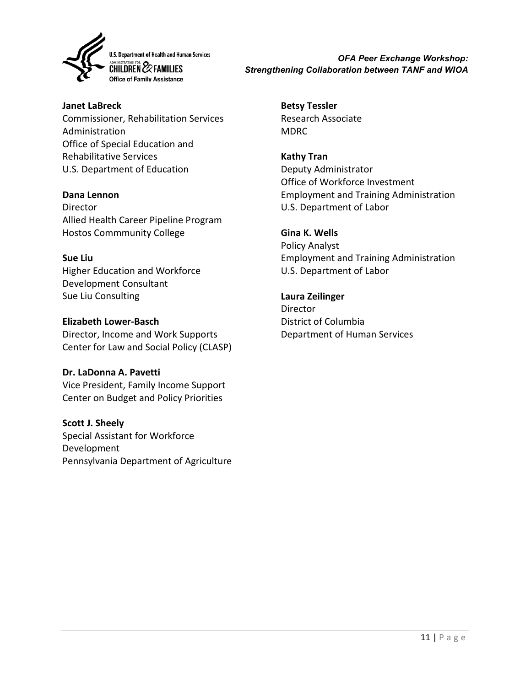

*OFA Peer Exchange Workshop: Strengthening Collaboration between TANF and WIOA*

**Janet LaBreck** Commissioner, Rehabilitation Services Administration Office of Special Education and Rehabilitative Services U.S. Department of Education

#### **Dana Lennon**

Director Allied Health Career Pipeline Program Hostos Commmunity College

#### **Sue Liu**

Higher Education and Workforce Development Consultant Sue Liu Consulting

#### **Elizabeth Lower-Basch**

Director, Income and Work Supports Center for Law and Social Policy (CLASP)

#### **Dr. LaDonna A. Pavetti**

Vice President, Family Income Support Center on Budget and Policy Priorities

#### **Scott J. Sheely**

Special Assistant for Workforce Development Pennsylvania Department of Agriculture **Betsy Tessler** Research Associate MDRC

**Kathy Tran** Deputy Administrator Office of Workforce Investment Employment and Training Administration U.S. Department of Labor

#### **Gina K. Wells**

Policy Analyst Employment and Training Administration U.S. Department of Labor

#### **Laura Zeilinger**

**Director** District of Columbia Department of Human Services